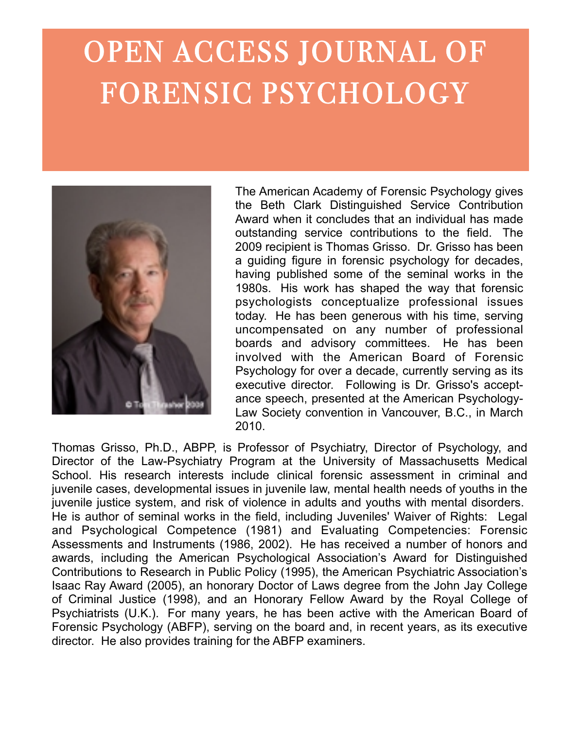# OPEN ACCESS JOURNAL OF FORENSIC PSYCHOLOGY



The American Academy of Forensic Psychology gives the Beth Clark Distinguished Service Contribution Award when it concludes that an individual has made outstanding service contributions to the field. The 2009 recipient is Thomas Grisso. Dr. Grisso has been a guiding figure in forensic psychology for decades, having published some of the seminal works in the 1980s. His work has shaped the way that forensic psychologists conceptualize professional issues today. He has been generous with his time, serving uncompensated on any number of professional boards and advisory committees. He has been involved with the American Board of Forensic Psychology for over a decade, currently serving as its executive director. Following is Dr. Grisso's acceptance speech, presented at the American Psychology-Law Society convention in Vancouver, B.C., in March 2010.

Thomas Grisso, Ph.D., ABPP, is Professor of Psychiatry, Director of Psychology, and Director of the Law-Psychiatry Program at the University of Massachusetts Medical School. His research interests include clinical forensic assessment in criminal and juvenile cases, developmental issues in juvenile law, mental health needs of youths in the juvenile justice system, and risk of violence in adults and youths with mental disorders. He is author of seminal works in the field, including Juveniles' Waiver of Rights: Legal and Psychological Competence (1981) and Evaluating Competencies: Forensic Assessments and Instruments (1986, 2002). He has received a number of honors and awards, including the American Psychological Association's Award for Distinguished Contributions to Research in Public Policy (1995), the American Psychiatric Association's Isaac Ray Award (2005), an honorary Doctor of Laws degree from the John Jay College of Criminal Justice (1998), and an Honorary Fellow Award by the Royal College of Psychiatrists (U.K.). For many years, he has been active with the American Board of Forensic Psychology (ABFP), serving on the board and, in recent years, as its executive director. He also provides training for the ABFP examiners.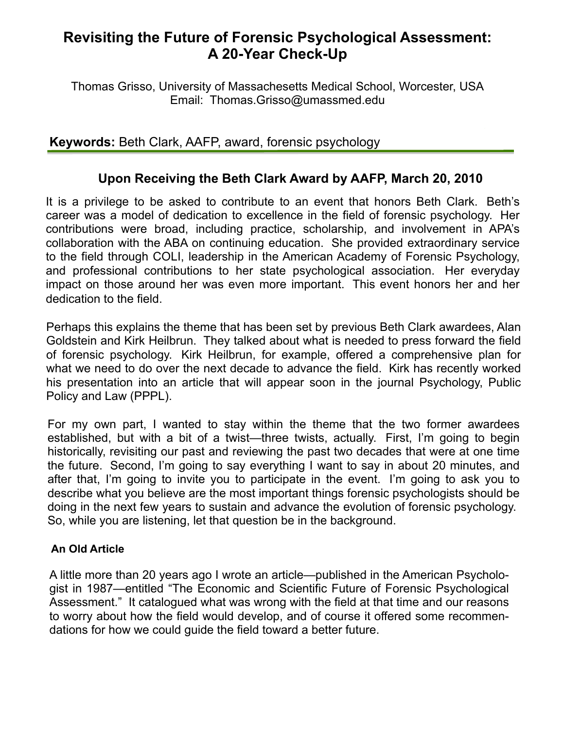# **Revisiting the Future of Forensic Psychological Assessment: A 20-Year Check-Up**

Thomas Grisso, University of Massachesetts Medical School, Worcester, USA Email: Thomas.Grisso@umassmed.edu

# **Keywords:** Beth Clark, AAFP, award, forensic psychology

# **Upon Receiving the Beth Clark Award by AAFP, March 20, 2010**

It is a privilege to be asked to contribute to an event that honors Beth Clark. Beth's career was a model of dedication to excellence in the field of forensic psychology. Her contributions were broad, including practice, scholarship, and involvement in APA's collaboration with the ABA on continuing education. She provided extraordinary service to the field through COLI, leadership in the American Academy of Forensic Psychology, and professional contributions to her state psychological association. Her everyday impact on those around her was even more important. This event honors her and her dedication to the field.

Perhaps this explains the theme that has been set by previous Beth Clark awardees, Alan Goldstein and Kirk Heilbrun. They talked about what is needed to press forward the field of forensic psychology. Kirk Heilbrun, for example, offered a comprehensive plan for what we need to do over the next decade to advance the field. Kirk has recently worked his presentation into an article that will appear soon in the journal Psychology, Public Policy and Law (PPPL).

For my own part, I wanted to stay within the theme that the two former awardees established, but with a bit of a twist—three twists, actually. First, I'm going to begin historically, revisiting our past and reviewing the past two decades that were at one time the future. Second, I'm going to say everything I want to say in about 20 minutes, and after that, I'm going to invite you to participate in the event. I'm going to ask you to describe what you believe are the most important things forensic psychologists should be doing in the next few years to sustain and advance the evolution of forensic psychology. So, while you are listening, let that question be in the background.

#### **An Old Article**

A little more than 20 years ago I wrote an article—published in the American Psychologist in 1987—entitled "The Economic and Scientific Future of Forensic Psychological Assessment." It catalogued what was wrong with the field at that time and our reasons to worry about how the field would develop, and of course it offered some recommendations for how we could guide the field toward a better future.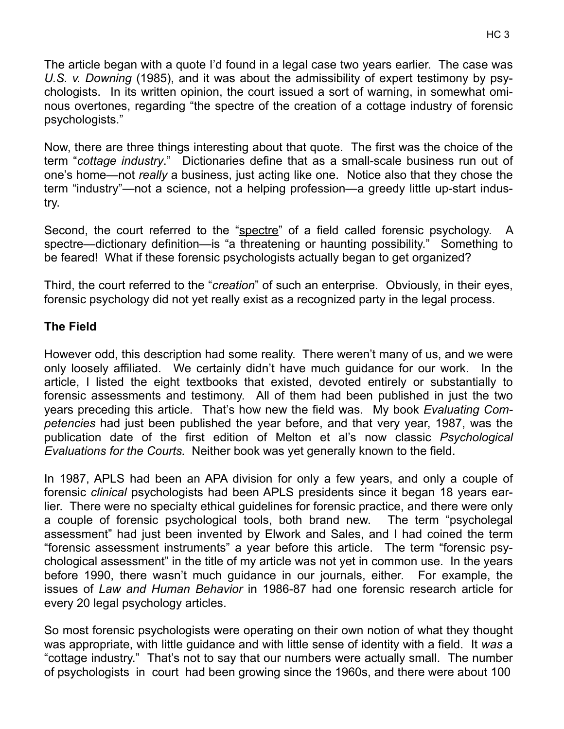The article began with a quote I'd found in a legal case two years earlier. The case was *U.S. v. Downing* (1985), and it was about the admissibility of expert testimony by psychologists. In its written opinion, the court issued a sort of warning, in somewhat ominous overtones, regarding "the spectre of the creation of a cottage industry of forensic psychologists."

Now, there are three things interesting about that quote. The first was the choice of the term "*cottage industry*." Dictionaries define that as a small-scale business run out of one's home—not *really* a business, just acting like one. Notice also that they chose the term "industry"—not a science, not a helping profession—a greedy little up-start industry.

Second, the court referred to the "spectre" of a field called forensic psychology. A spectre—dictionary definition—is "a threatening or haunting possibility." Something to be feared! What if these forensic psychologists actually began to get organized?

Third, the court referred to the "*creation*" of such an enterprise. Obviously, in their eyes, forensic psychology did not yet really exist as a recognized party in the legal process.

#### **The Field**

However odd, this description had some reality. There weren't many of us, and we were only loosely affiliated. We certainly didn't have much guidance for our work. In the article, I listed the eight textbooks that existed, devoted entirely or substantially to forensic assessments and testimony. All of them had been published in just the two years preceding this article. That's how new the field was. My book *Evaluating Competencies* had just been published the year before, and that very year, 1987, was the publication date of the first edition of Melton et al's now classic *Psychological Evaluations for the Courts.* Neither book was yet generally known to the field.

In 1987, APLS had been an APA division for only a few years, and only a couple of forensic *clinical* psychologists had been APLS presidents since it began 18 years earlier. There were no specialty ethical guidelines for forensic practice, and there were only a couple of forensic psychological tools, both brand new. The term "psycholegal assessment" had just been invented by Elwork and Sales, and I had coined the term "forensic assessment instruments" a year before this article. The term "forensic psychological assessment" in the title of my article was not yet in common use. In the years before 1990, there wasn't much guidance in our journals, either. For example, the issues of *Law and Human Behavior* in 1986-87 had one forensic research article for every 20 legal psychology articles.

So most forensic psychologists were operating on their own notion of what they thought was appropriate, with little guidance and with little sense of identity with a field. It *was* a "cottage industry." That's not to say that our numbers were actually small. The number of psychologists in court had been growing since the 1960s, and there were about 100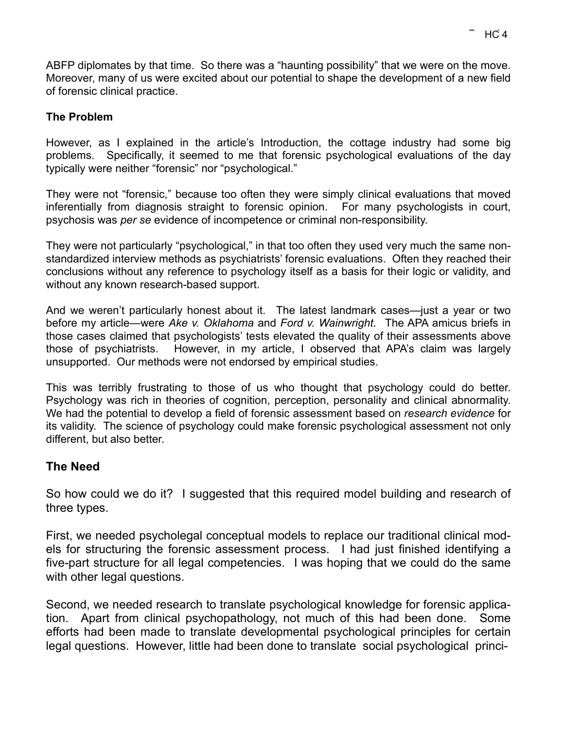ABFP diplomates by that time. So there was a "haunting possibility" that we were on the move. Moreover, many of us were excited about our potential to shape the development of a new field of forensic clinical practice.

#### **The Problem**

However, as I explained in the article's Introduction, the cottage industry had some big problems. Specifically, it seemed to me that forensic psychological evaluations of the day typically were neither "forensic" nor "psychological."

They were not "forensic," because too often they were simply clinical evaluations that moved inferentially from diagnosis straight to forensic opinion. For many psychologists in court, psychosis was *per se* evidence of incompetence or criminal non-responsibility.

They were not particularly "psychological," in that too often they used very much the same nonstandardized interview methods as psychiatrists' forensic evaluations. Often they reached their conclusions without any reference to psychology itself as a basis for their logic or validity, and without any known research-based support.

And we weren't particularly honest about it. The latest landmark cases—just a year or two before my article—were *Ake v. Oklahoma* and *Ford v. Wainwright*. The APA amicus briefs in those cases claimed that psychologists' tests elevated the quality of their assessments above those of psychiatrists. However, in my article, I observed that APA's claim was largely unsupported. Our methods were not endorsed by empirical studies.

This was terribly frustrating to those of us who thought that psychology could do better. Psychology was rich in theories of cognition, perception, personality and clinical abnormality. We had the potential to develop a field of forensic assessment based on *research evidence* for its validity. The science of psychology could make forensic psychological assessment not only different, but also better.

#### **The Need**

So how could we do it? I suggested that this required model building and research of three types.

First, we needed psycholegal conceptual models to replace our traditional clinical models for structuring the forensic assessment process. I had just finished identifying a five-part structure for all legal competencies. I was hoping that we could do the same with other legal questions.

Second, we needed research to translate psychological knowledge for forensic application. Apart from clinical psychopathology, not much of this had been done. Some efforts had been made to translate developmental psychological principles for certain legal questions. However, little had been done to translate social psychological princi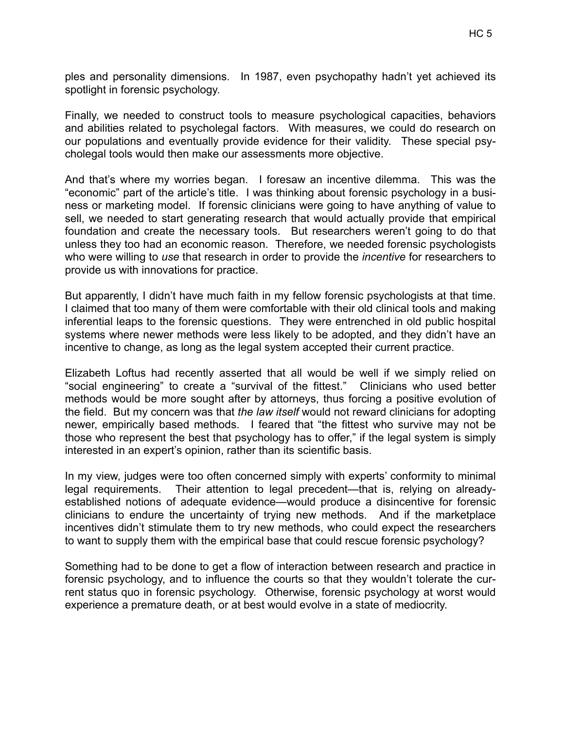ples and personality dimensions. In 1987, even psychopathy hadn't yet achieved its spotlight in forensic psychology.

Finally, we needed to construct tools to measure psychological capacities, behaviors and abilities related to psycholegal factors. With measures, we could do research on our populations and eventually provide evidence for their validity. These special psycholegal tools would then make our assessments more objective.

And that's where my worries began. I foresaw an incentive dilemma. This was the "economic" part of the article's title. I was thinking about forensic psychology in a business or marketing model. If forensic clinicians were going to have anything of value to sell, we needed to start generating research that would actually provide that empirical foundation and create the necessary tools. But researchers weren't going to do that unless they too had an economic reason. Therefore, we needed forensic psychologists who were willing to *use* that research in order to provide the *incentive* for researchers to provide us with innovations for practice.

But apparently, I didn't have much faith in my fellow forensic psychologists at that time. I claimed that too many of them were comfortable with their old clinical tools and making inferential leaps to the forensic questions. They were entrenched in old public hospital systems where newer methods were less likely to be adopted, and they didn't have an incentive to change, as long as the legal system accepted their current practice.

Elizabeth Loftus had recently asserted that all would be well if we simply relied on "social engineering" to create a "survival of the fittest." Clinicians who used better methods would be more sought after by attorneys, thus forcing a positive evolution of the field. But my concern was that *the law itself* would not reward clinicians for adopting newer, empirically based methods. I feared that "the fittest who survive may not be those who represent the best that psychology has to offer," if the legal system is simply interested in an expert's opinion, rather than its scientific basis.

In my view, judges were too often concerned simply with experts' conformity to minimal legal requirements. Their attention to legal precedent—that is, relying on alreadyestablished notions of adequate evidence—would produce a disincentive for forensic clinicians to endure the uncertainty of trying new methods. And if the marketplace incentives didn't stimulate them to try new methods, who could expect the researchers to want to supply them with the empirical base that could rescue forensic psychology?

Something had to be done to get a flow of interaction between research and practice in forensic psychology, and to influence the courts so that they wouldn't tolerate the current status quo in forensic psychology. Otherwise, forensic psychology at worst would experience a premature death, or at best would evolve in a state of mediocrity.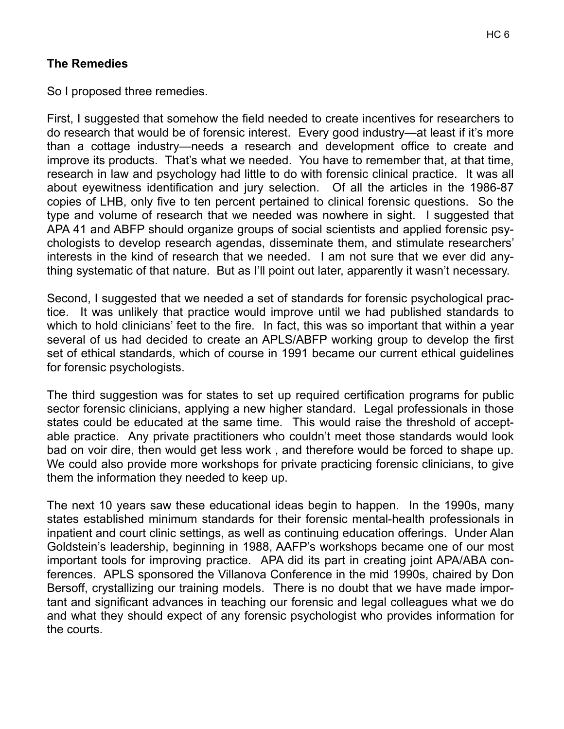#### **The Remedies**

So I proposed three remedies.

First, I suggested that somehow the field needed to create incentives for researchers to do research that would be of forensic interest. Every good industry—at least if it's more than a cottage industry—needs a research and development office to create and improve its products. That's what we needed. You have to remember that, at that time, research in law and psychology had little to do with forensic clinical practice. It was all about eyewitness identification and jury selection. Of all the articles in the 1986-87 copies of LHB, only five to ten percent pertained to clinical forensic questions. So the type and volume of research that we needed was nowhere in sight. I suggested that APA 41 and ABFP should organize groups of social scientists and applied forensic psychologists to develop research agendas, disseminate them, and stimulate researchers' interests in the kind of research that we needed. I am not sure that we ever did anything systematic of that nature. But as I'll point out later, apparently it wasn't necessary.

Second, I suggested that we needed a set of standards for forensic psychological practice. It was unlikely that practice would improve until we had published standards to which to hold clinicians' feet to the fire. In fact, this was so important that within a year several of us had decided to create an APLS/ABFP working group to develop the first set of ethical standards, which of course in 1991 became our current ethical guidelines for forensic psychologists.

The third suggestion was for states to set up required certification programs for public sector forensic clinicians, applying a new higher standard. Legal professionals in those states could be educated at the same time. This would raise the threshold of acceptable practice. Any private practitioners who couldn't meet those standards would look bad on voir dire, then would get less work , and therefore would be forced to shape up. We could also provide more workshops for private practicing forensic clinicians, to give them the information they needed to keep up.

The next 10 years saw these educational ideas begin to happen. In the 1990s, many states established minimum standards for their forensic mental-health professionals in inpatient and court clinic settings, as well as continuing education offerings. Under Alan Goldstein's leadership, beginning in 1988, AAFP's workshops became one of our most important tools for improving practice. APA did its part in creating joint APA/ABA conferences. APLS sponsored the Villanova Conference in the mid 1990s, chaired by Don Bersoff, crystallizing our training models. There is no doubt that we have made important and significant advances in teaching our forensic and legal colleagues what we do and what they should expect of any forensic psychologist who provides information for the courts.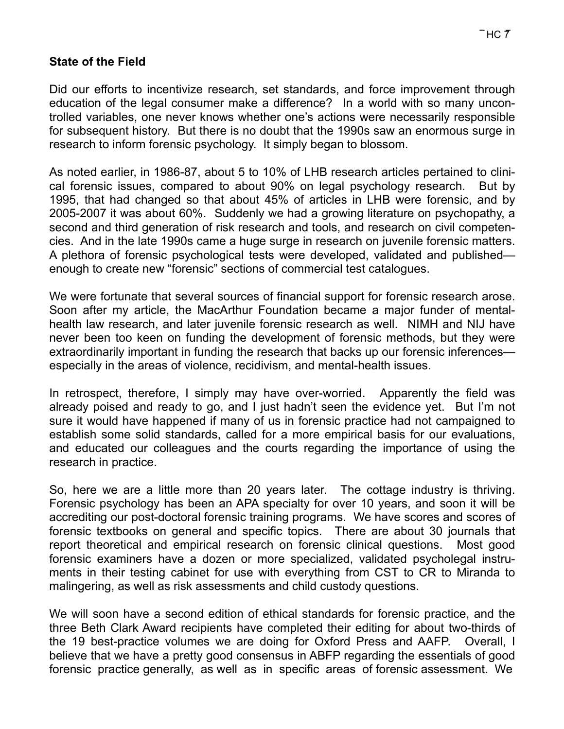#### **State of the Field**

Did our efforts to incentivize research, set standards, and force improvement through education of the legal consumer make a difference? In a world with so many uncontrolled variables, one never knows whether one's actions were necessarily responsible for subsequent history. But there is no doubt that the 1990s saw an enormous surge in research to inform forensic psychology. It simply began to blossom.

As noted earlier, in 1986-87, about 5 to 10% of LHB research articles pertained to clinical forensic issues, compared to about 90% on legal psychology research. But by 1995, that had changed so that about 45% of articles in LHB were forensic, and by 2005-2007 it was about 60%. Suddenly we had a growing literature on psychopathy, a second and third generation of risk research and tools, and research on civil competencies. And in the late 1990s came a huge surge in research on juvenile forensic matters. A plethora of forensic psychological tests were developed, validated and published enough to create new "forensic" sections of commercial test catalogues.

We were fortunate that several sources of financial support for forensic research arose. Soon after my article, the MacArthur Foundation became a major funder of mentalhealth law research, and later juvenile forensic research as well. NIMH and NIJ have never been too keen on funding the development of forensic methods, but they were extraordinarily important in funding the research that backs up our forensic inferences especially in the areas of violence, recidivism, and mental-health issues.

In retrospect, therefore, I simply may have over-worried. Apparently the field was already poised and ready to go, and I just hadn't seen the evidence yet. But I'm not sure it would have happened if many of us in forensic practice had not campaigned to establish some solid standards, called for a more empirical basis for our evaluations, and educated our colleagues and the courts regarding the importance of using the research in practice.

So, here we are a little more than 20 years later. The cottage industry is thriving. Forensic psychology has been an APA specialty for over 10 years, and soon it will be accrediting our post-doctoral forensic training programs. We have scores and scores of forensic textbooks on general and specific topics. There are about 30 journals that report theoretical and empirical research on forensic clinical questions. Most good forensic examiners have a dozen or more specialized, validated psycholegal instruments in their testing cabinet for use with everything from CST to CR to Miranda to malingering, as well as risk assessments and child custody questions.

We will soon have a second edition of ethical standards for forensic practice, and the three Beth Clark Award recipients have completed their editing for about two-thirds of the 19 best-practice volumes we are doing for Oxford Press and AAFP. Overall, I believe that we have a pretty good consensus in ABFP regarding the essentials of good forensic practice generally, as well as in specific areas of forensic assessment. We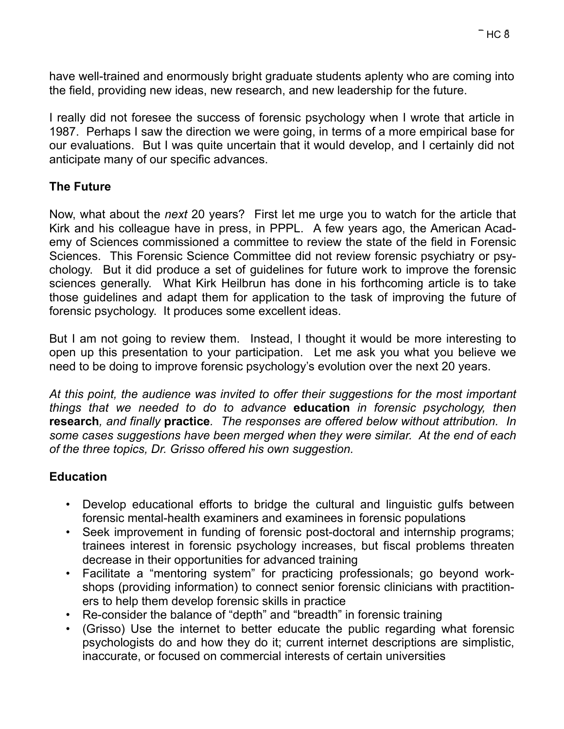have well-trained and enormously bright graduate students aplenty who are coming into the field, providing new ideas, new research, and new leadership for the future.

I really did not foresee the success of forensic psychology when I wrote that article in 1987. Perhaps I saw the direction we were going, in terms of a more empirical base for our evaluations. But I was quite uncertain that it would develop, and I certainly did not anticipate many of our specific advances.

#### **The Future**

Now, what about the *next* 20 years? First let me urge you to watch for the article that Kirk and his colleague have in press, in PPPL. A few years ago, the American Academy of Sciences commissioned a committee to review the state of the field in Forensic Sciences. This Forensic Science Committee did not review forensic psychiatry or psychology. But it did produce a set of guidelines for future work to improve the forensic sciences generally. What Kirk Heilbrun has done in his forthcoming article is to take those guidelines and adapt them for application to the task of improving the future of forensic psychology. It produces some excellent ideas.

But I am not going to review them. Instead, I thought it would be more interesting to open up this presentation to your participation. Let me ask you what you believe we need to be doing to improve forensic psychology's evolution over the next 20 years.

*At this point, the audience was invited to offer their suggestions for the most important things that we needed to do to advance* **education** *in forensic psychology, then* **research***, and finally* **practice***. The responses are offered below without attribution. In some cases suggestions have been merged when they were similar. At the end of each of the three topics, Dr. Grisso offered his own suggestion.*

## **Education**

- Develop educational efforts to bridge the cultural and linguistic gulfs between forensic mental-health examiners and examinees in forensic populations
- Seek improvement in funding of forensic post-doctoral and internship programs; trainees interest in forensic psychology increases, but fiscal problems threaten decrease in their opportunities for advanced training
- Facilitate a "mentoring system" for practicing professionals; go beyond workshops (providing information) to connect senior forensic clinicians with practitioners to help them develop forensic skills in practice
- Re-consider the balance of "depth" and "breadth" in forensic training
- (Grisso) Use the internet to better educate the public regarding what forensic psychologists do and how they do it; current internet descriptions are simplistic, inaccurate, or focused on commercial interests of certain universities